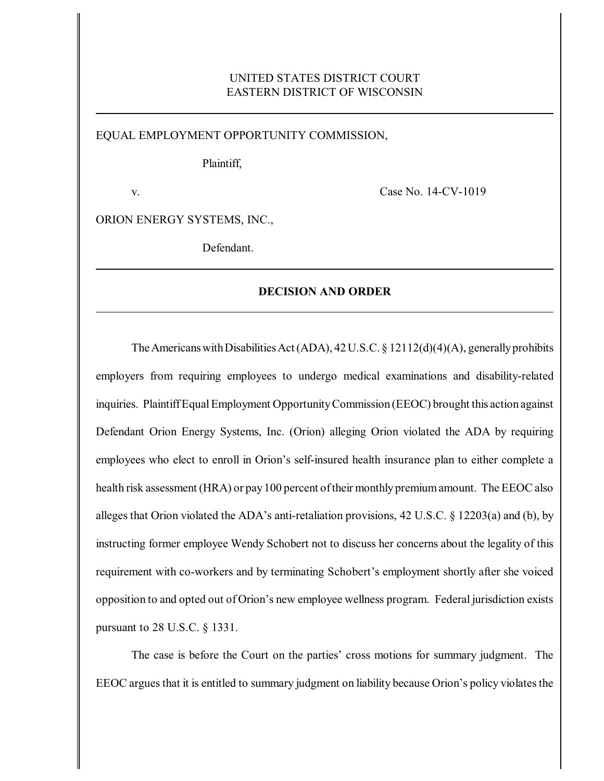# UNITED STATES DISTRICT COURT EASTERN DISTRICT OF WISCONSIN

EQUAL EMPLOYMENT OPPORTUNITY COMMISSION,

Plaintiff,

v. Case No. 14-CV-1019

ORION ENERGY SYSTEMS, INC.,

Defendant.

## **DECISION AND ORDER**

The Americans with Disabilities Act (ADA),  $42 U.S.C. \S 12112(d)(4)(A)$ , generally prohibits employers from requiring employees to undergo medical examinations and disability-related inquiries. PlaintiffEqualEmployment OpportunityCommission (EEOC) brought this action against Defendant Orion Energy Systems, Inc. (Orion) alleging Orion violated the ADA by requiring employees who elect to enroll in Orion's self-insured health insurance plan to either complete a health risk assessment (HRA) or pay 100 percent of their monthly premium amount. The EEOC also alleges that Orion violated the ADA's anti-retaliation provisions, 42 U.S.C. § 12203(a) and (b), by instructing former employee Wendy Schobert not to discuss her concerns about the legality of this requirement with co-workers and by terminating Schobert's employment shortly after she voiced opposition to and opted out of Orion's new employee wellness program. Federal jurisdiction exists pursuant to 28 U.S.C. § 1331.

The case is before the Court on the parties' cross motions for summary judgment. The EEOC argues that it is entitled to summary judgment on liability because Orion's policy violates the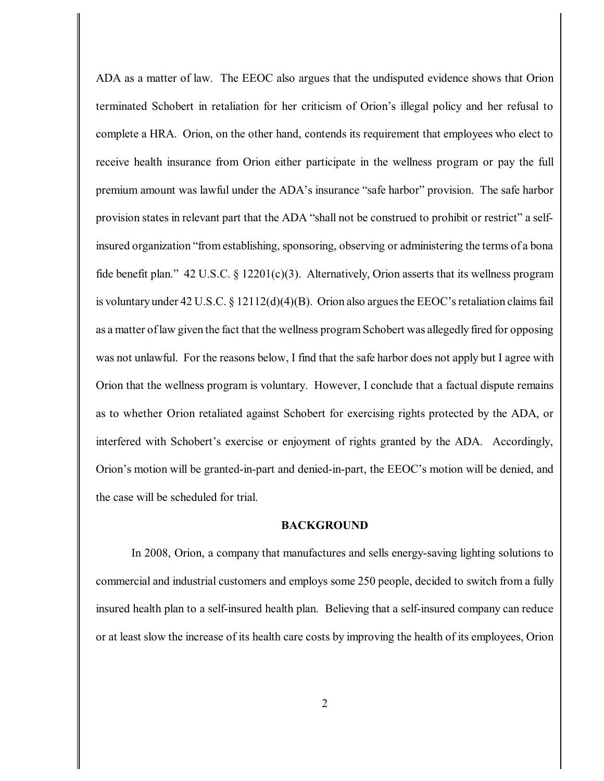ADA as a matter of law. The EEOC also argues that the undisputed evidence shows that Orion terminated Schobert in retaliation for her criticism of Orion's illegal policy and her refusal to complete a HRA. Orion, on the other hand, contends its requirement that employees who elect to receive health insurance from Orion either participate in the wellness program or pay the full premium amount was lawful under the ADA's insurance "safe harbor" provision. The safe harbor provision states in relevant part that the ADA "shall not be construed to prohibit or restrict" a selfinsured organization "from establishing, sponsoring, observing or administering the terms of a bona fide benefit plan." 42 U.S.C. § 12201(c)(3). Alternatively, Orion asserts that its wellness program is voluntary under 42 U.S.C. § 12112(d)(4)(B). Orion also argues the EEOC's retaliation claims fail as a matter oflaw given the fact that the wellness program Schobert was allegedly fired for opposing was not unlawful. For the reasons below, I find that the safe harbor does not apply but I agree with Orion that the wellness program is voluntary. However, I conclude that a factual dispute remains as to whether Orion retaliated against Schobert for exercising rights protected by the ADA, or interfered with Schobert's exercise or enjoyment of rights granted by the ADA. Accordingly, Orion's motion will be granted-in-part and denied-in-part, the EEOC's motion will be denied, and the case will be scheduled for trial.

## **BACKGROUND**

In 2008, Orion, a company that manufactures and sells energy-saving lighting solutions to commercial and industrial customers and employs some 250 people, decided to switch from a fully insured health plan to a self-insured health plan. Believing that a self-insured company can reduce or at least slow the increase of its health care costs by improving the health of its employees, Orion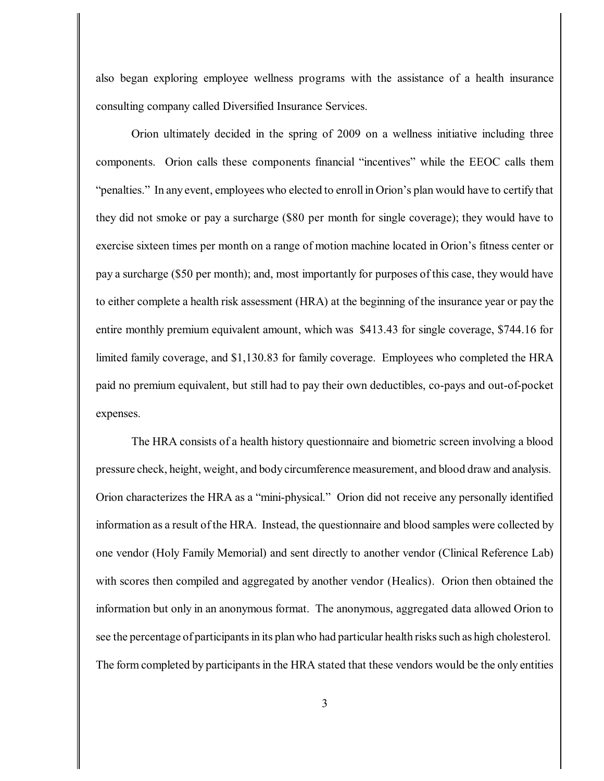also began exploring employee wellness programs with the assistance of a health insurance consulting company called Diversified Insurance Services.

Orion ultimately decided in the spring of 2009 on a wellness initiative including three components. Orion calls these components financial "incentives" while the EEOC calls them "penalties." In any event, employees who elected to enroll in Orion's plan would have to certify that they did not smoke or pay a surcharge (\$80 per month for single coverage); they would have to exercise sixteen times per month on a range of motion machine located in Orion's fitness center or pay a surcharge (\$50 per month); and, most importantly for purposes of this case, they would have to either complete a health risk assessment (HRA) at the beginning of the insurance year or pay the entire monthly premium equivalent amount, which was \$413.43 for single coverage, \$744.16 for limited family coverage, and \$1,130.83 for family coverage. Employees who completed the HRA paid no premium equivalent, but still had to pay their own deductibles, co-pays and out-of-pocket expenses.

The HRA consists of a health history questionnaire and biometric screen involving a blood pressure check, height, weight, and body circumference measurement, and blood draw and analysis. Orion characterizes the HRA as a "mini-physical." Orion did not receive any personally identified information as a result of the HRA. Instead, the questionnaire and blood samples were collected by one vendor (Holy Family Memorial) and sent directly to another vendor (Clinical Reference Lab) with scores then compiled and aggregated by another vendor (Healics). Orion then obtained the information but only in an anonymous format. The anonymous, aggregated data allowed Orion to see the percentage of participants in its plan who had particular health risks such as high cholesterol. The form completed by participants in the HRA stated that these vendors would be the only entities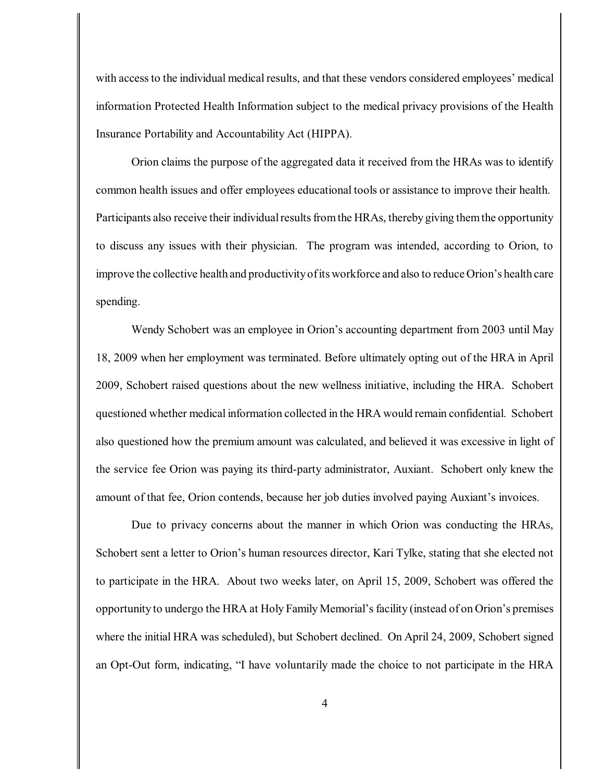with accessto the individual medical results, and that these vendors considered employees' medical information Protected Health Information subject to the medical privacy provisions of the Health Insurance Portability and Accountability Act (HIPPA).

Orion claims the purpose of the aggregated data it received from the HRAs was to identify common health issues and offer employees educational tools or assistance to improve their health. Participants also receive their individual results from the HRAs, thereby giving them the opportunity to discuss any issues with their physician. The program was intended, according to Orion, to improve the collective health and productivityofits workforce and also to reduce Orion's health care spending.

Wendy Schobert was an employee in Orion's accounting department from 2003 until May 18, 2009 when her employment was terminated. Before ultimately opting out of the HRA in April 2009, Schobert raised questions about the new wellness initiative, including the HRA. Schobert questioned whether medical information collected in the HRA would remain confidential. Schobert also questioned how the premium amount was calculated, and believed it was excessive in light of the service fee Orion was paying its third-party administrator, Auxiant. Schobert only knew the amount of that fee, Orion contends, because her job duties involved paying Auxiant's invoices.

Due to privacy concerns about the manner in which Orion was conducting the HRAs, Schobert sent a letter to Orion's human resources director, Kari Tylke, stating that she elected not to participate in the HRA. About two weeks later, on April 15, 2009, Schobert was offered the opportunity to undergo the HRA at Holy Family Memorial's facility (instead of on Orion's premises where the initial HRA was scheduled), but Schobert declined. On April 24, 2009, Schobert signed an Opt-Out form, indicating, "I have voluntarily made the choice to not participate in the HRA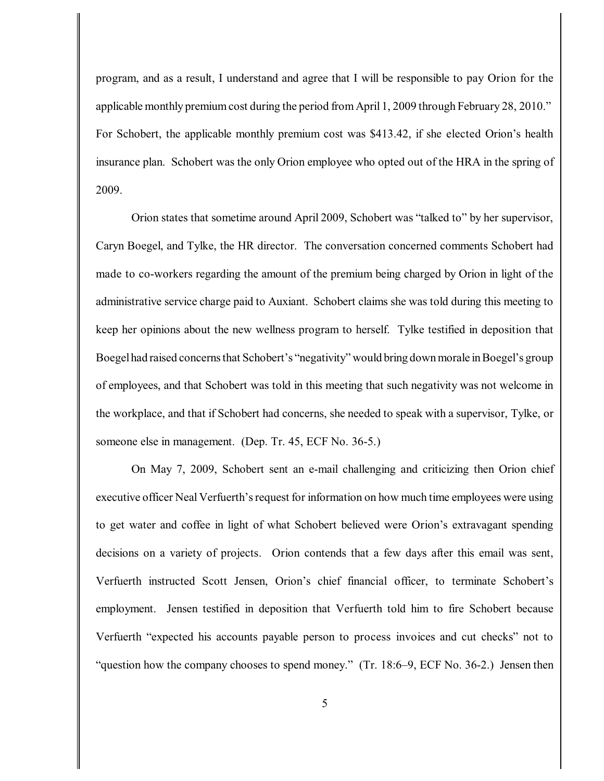program, and as a result, I understand and agree that I will be responsible to pay Orion for the applicable monthly premiumcost during the period fromApril 1, 2009 through February 28, 2010." For Schobert, the applicable monthly premium cost was \$413.42, if she elected Orion's health insurance plan. Schobert was the only Orion employee who opted out of the HRA in the spring of 2009.

Orion states that sometime around April 2009, Schobert was "talked to" by her supervisor, Caryn Boegel, and Tylke, the HR director. The conversation concerned comments Schobert had made to co-workers regarding the amount of the premium being charged by Orion in light of the administrative service charge paid to Auxiant. Schobert claims she was told during this meeting to keep her opinions about the new wellness program to herself. Tylke testified in deposition that Boegelhad raised concerns that Schobert's "negativity" would bring down morale in Boegel's group of employees, and that Schobert was told in this meeting that such negativity was not welcome in the workplace, and that if Schobert had concerns, she needed to speak with a supervisor, Tylke, or someone else in management. (Dep. Tr. 45, ECF No. 36-5.)

On May 7, 2009, Schobert sent an e-mail challenging and criticizing then Orion chief executive officer Neal Verfuerth's request for information on how much time employees were using to get water and coffee in light of what Schobert believed were Orion's extravagant spending decisions on a variety of projects. Orion contends that a few days after this email was sent, Verfuerth instructed Scott Jensen, Orion's chief financial officer, to terminate Schobert's employment. Jensen testified in deposition that Verfuerth told him to fire Schobert because Verfuerth "expected his accounts payable person to process invoices and cut checks" not to "question how the company chooses to spend money." (Tr. 18:6–9, ECF No. 36-2.) Jensen then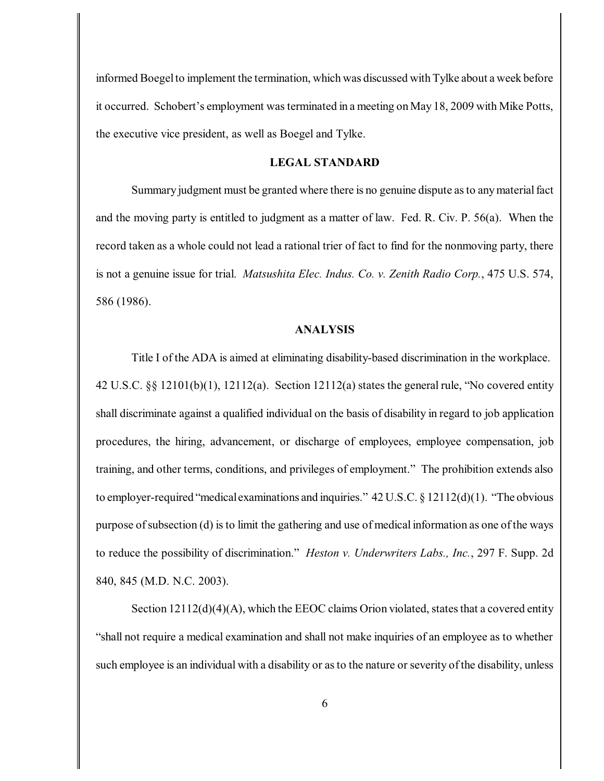informed Boegel to implement the termination, which was discussed with Tylke about a week before it occurred. Schobert's employment wasterminated in a meeting on May 18, 2009 with Mike Potts, the executive vice president, as well as Boegel and Tylke.

# **LEGAL STANDARD**

Summary judgment must be granted where there is no genuine dispute as to any material fact and the moving party is entitled to judgment as a matter of law. Fed. R. Civ. P. 56(a). When the record taken as a whole could not lead a rational trier of fact to find for the nonmoving party, there is not a genuine issue for trial. *Matsushita Elec. Indus. Co. v. Zenith Radio Corp.*, 475 U.S. 574, 586 (1986).

## **ANALYSIS**

Title I of the ADA is aimed at eliminating disability-based discrimination in the workplace. 42 U.S.C. §§ 12101(b)(1), 12112(a). Section 12112(a) states the general rule, "No covered entity shall discriminate against a qualified individual on the basis of disability in regard to job application procedures, the hiring, advancement, or discharge of employees, employee compensation, job training, and other terms, conditions, and privileges of employment." The prohibition extends also to employer-required "medical examinations and inquiries."  $42 \text{ U.S.C.} \& 12112(\text{d})(1)$ . "The obvious purpose ofsubsection (d) isto limit the gathering and use of medical information as one of the ways to reduce the possibility of discrimination." *Heston v. Underwriters Labs., Inc.*, 297 F. Supp. 2d 840, 845 (M.D. N.C. 2003).

Section  $12112(d)(4)$ (A), which the EEOC claims Orion violated, states that a covered entity "shall not require a medical examination and shall not make inquiries of an employee as to whether such employee is an individual with a disability or as to the nature or severity of the disability, unless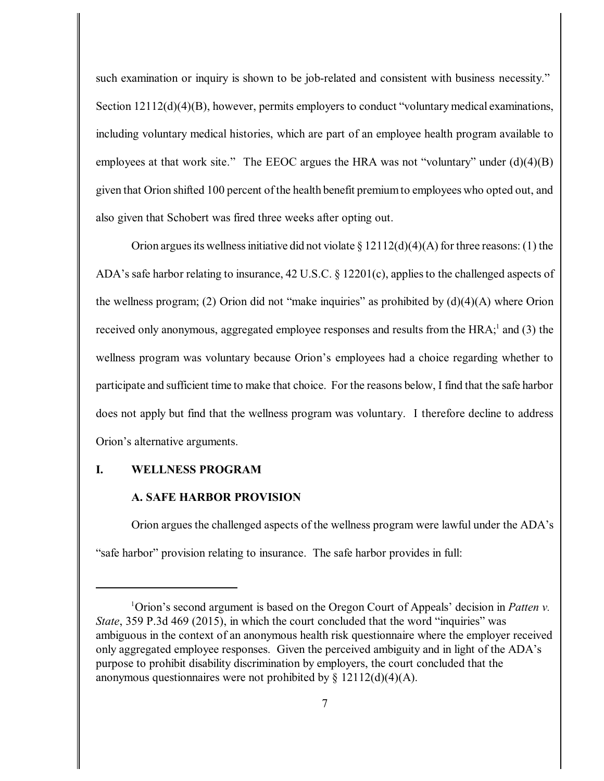such examination or inquiry is shown to be job-related and consistent with business necessity." Section  $12112(d)(4)(B)$ , however, permits employers to conduct "voluntary medical examinations, including voluntary medical histories, which are part of an employee health program available to employees at that work site." The EEOC argues the HRA was not "voluntary" under (d)(4)(B) given that Orion shifted 100 percent of the health benefit premiumto employees who opted out, and also given that Schobert was fired three weeks after opting out.

Orion argues its wellness initiative did not violate § 12112(d)(4)(A) for three reasons: (1) the ADA's safe harbor relating to insurance, 42 U.S.C. § 12201(c), appliesto the challenged aspects of the wellness program; (2) Orion did not "make inquiries" as prohibited by  $(d)(4)(A)$  where Orion received only anonymous, aggregated employee responses and results from the  $HRA$ ; and (3) the wellness program was voluntary because Orion's employees had a choice regarding whether to participate and sufficient time to make that choice. For the reasons below, I find that the safe harbor does not apply but find that the wellness program was voluntary. I therefore decline to address Orion's alternative arguments.

## **I. WELLNESS PROGRAM**

#### **A. SAFE HARBOR PROVISION**

Orion argues the challenged aspects of the wellness program were lawful under the ADA's "safe harbor" provision relating to insurance. The safe harbor provides in full:

<sup>&</sup>lt;sup>1</sup> Orion's second argument is based on the Oregon Court of Appeals' decision in *Patten v*. *State*, 359 P.3d 469 (2015), in which the court concluded that the word "inquiries" was ambiguous in the context of an anonymous health risk questionnaire where the employer received only aggregated employee responses. Given the perceived ambiguity and in light of the ADA's purpose to prohibit disability discrimination by employers, the court concluded that the anonymous questionnaires were not prohibited by  $\S$  12112(d)(4)(A).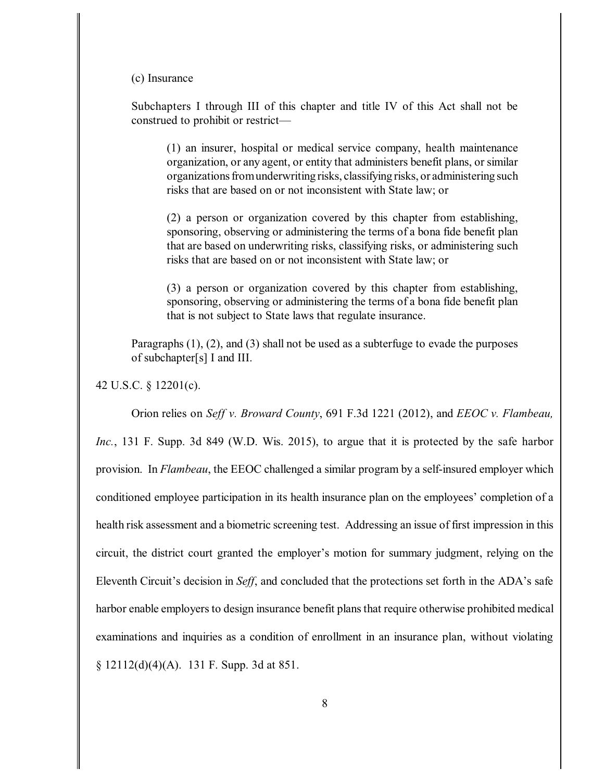#### (c) Insurance

Subchapters I through III of this chapter and title IV of this Act shall not be construed to prohibit or restrict—

(1) an insurer, hospital or medical service company, health maintenance organization, or any agent, or entity that administers benefit plans, or similar organizations from underwriting risks, classifying risks, or administering such risks that are based on or not inconsistent with State law; or

(2) a person or organization covered by this chapter from establishing, sponsoring, observing or administering the terms of a bona fide benefit plan that are based on underwriting risks, classifying risks, or administering such risks that are based on or not inconsistent with State law; or

(3) a person or organization covered by this chapter from establishing, sponsoring, observing or administering the terms of a bona fide benefit plan that is not subject to State laws that regulate insurance.

Paragraphs (1), (2), and (3) shall not be used as a subterfuge to evade the purposes of subchapter[s] I and III.

42 U.S.C. § 12201(c).

Orion relies on *Seff v. Broward County*, 691 F.3d 1221 (2012), and *EEOC v. Flambeau, Inc.*, 131 F. Supp. 3d 849 (W.D. Wis. 2015), to argue that it is protected by the safe harbor provision. In *Flambeau*, the EEOC challenged a similar program by a self-insured employer which conditioned employee participation in its health insurance plan on the employees' completion of a health risk assessment and a biometric screening test. Addressing an issue of first impression in this circuit, the district court granted the employer's motion for summary judgment, relying on the Eleventh Circuit's decision in *Seff*, and concluded that the protections set forth in the ADA's safe harbor enable employers to design insurance benefit plans that require otherwise prohibited medical examinations and inquiries as a condition of enrollment in an insurance plan, without violating § 12112(d)(4)(A). 131 F. Supp. 3d at 851.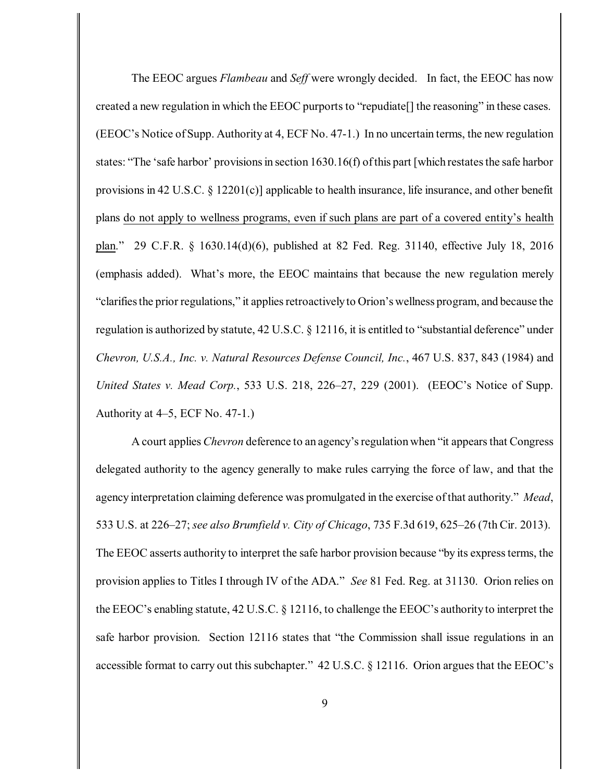The EEOC argues *Flambeau* and *Seff* were wrongly decided. In fact, the EEOC has now created a new regulation in which the EEOC purportsto "repudiate[] the reasoning" in these cases. (EEOC's Notice of Supp. Authority at 4, ECF No. 47-1.) In no uncertain terms, the new regulation states: "The 'safe harbor' provisions in section 1630.16(f) of this part [which restates the safe harbor provisions in 42 U.S.C. § 12201(c)] applicable to health insurance, life insurance, and other benefit plans do not apply to wellness programs, even if such plans are part of a covered entity's health plan." 29 C.F.R. § 1630.14(d)(6), published at 82 Fed. Reg. 31140, effective July 18, 2016 (emphasis added). What's more, the EEOC maintains that because the new regulation merely "clarifies the prior regulations," it applies retroactively to Orion's wellness program, and because the regulation is authorized by statute, 42 U.S.C. § 12116, it is entitled to "substantial deference" under *Chevron, U.S.A., Inc. v. Natural Resources Defense Council, Inc.*, 467 U.S. 837, 843 (1984) and *United States v. Mead Corp.*, 533 U.S. 218, 226–27, 229 (2001). (EEOC's Notice of Supp. Authority at 4–5, ECF No. 47-1.)

A court applies *Chevron* deference to an agency'sregulation when "it appears that Congress delegated authority to the agency generally to make rules carrying the force of law, and that the agency interpretation claiming deference was promulgated in the exercise ofthat authority." *Mead*, 533 U.S. at 226–27; *see also Brumfield v. City of Chicago*, 735 F.3d 619, 625–26 (7th Cir. 2013). The EEOC asserts authority to interpret the safe harbor provision because "by its expressterms, the provision applies to Titles I through IV of the ADA." *See* 81 Fed. Reg. at 31130. Orion relies on the EEOC's enabling statute, 42 U.S.C. § 12116, to challenge the EEOC's authority to interpret the safe harbor provision. Section 12116 states that "the Commission shall issue regulations in an accessible format to carry out this subchapter."  $42$  U.S.C. § 12116. Orion argues that the EEOC's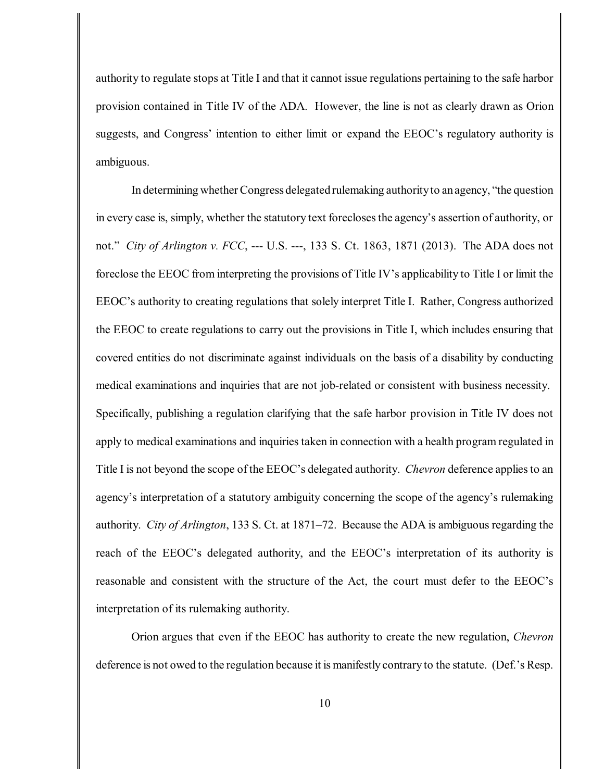authority to regulate stops at Title I and that it cannot issue regulations pertaining to the safe harbor provision contained in Title IV of the ADA. However, the line is not as clearly drawn as Orion suggests, and Congress' intention to either limit or expand the EEOC's regulatory authority is ambiguous.

In determining whether Congress delegated rulemaking authorityto an agency, "the question in every case is, simply, whether the statutory text foreclosesthe agency's assertion of authority, or not." *City of Arlington v. FCC*, --- U.S. ---, 133 S. Ct. 1863, 1871 (2013). The ADA does not foreclose the EEOC from interpreting the provisions of Title IV's applicability to Title I or limit the EEOC's authority to creating regulations that solely interpret Title I. Rather, Congress authorized the EEOC to create regulations to carry out the provisions in Title I, which includes ensuring that covered entities do not discriminate against individuals on the basis of a disability by conducting medical examinations and inquiries that are not job-related or consistent with business necessity. Specifically, publishing a regulation clarifying that the safe harbor provision in Title IV does not apply to medical examinations and inquiries taken in connection with a health program regulated in Title I is not beyond the scope of the EEOC's delegated authority. *Chevron* deference appliesto an agency's interpretation of a statutory ambiguity concerning the scope of the agency's rulemaking authority. *City of Arlington*, 133 S. Ct. at 1871–72. Because the ADA is ambiguous regarding the reach of the EEOC's delegated authority, and the EEOC's interpretation of its authority is reasonable and consistent with the structure of the Act, the court must defer to the EEOC's interpretation of its rulemaking authority.

Orion argues that even if the EEOC has authority to create the new regulation, *Chevron* deference is not owed to the regulation because it is manifestly contrary to the statute. (Def.'s Resp.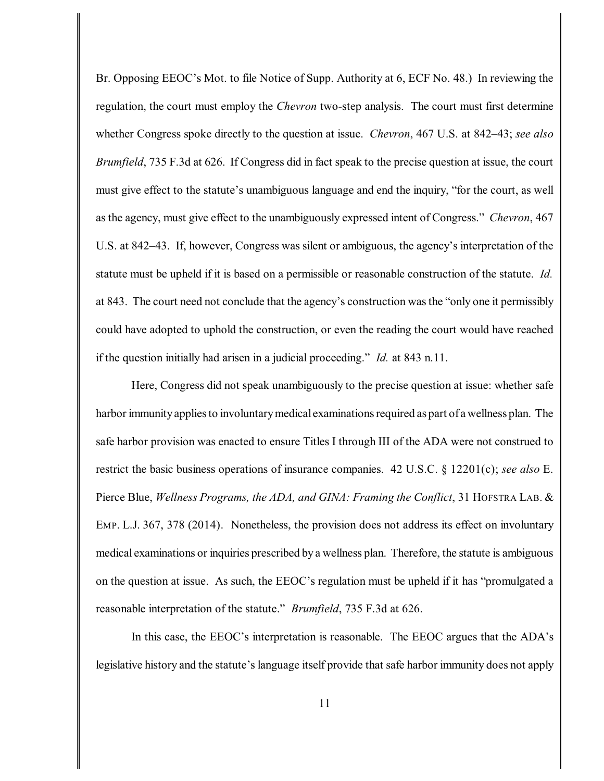Br. Opposing EEOC's Mot. to file Notice of Supp. Authority at 6, ECF No. 48.) In reviewing the regulation, the court must employ the *Chevron* two-step analysis. The court must first determine whether Congress spoke directly to the question at issue. *Chevron*, 467 U.S. at 842–43; *see also Brumfield*, 735 F.3d at 626. If Congress did in fact speak to the precise question at issue, the court must give effect to the statute's unambiguous language and end the inquiry, "for the court, as well as the agency, must give effect to the unambiguously expressed intent of Congress." *Chevron*, 467 U.S. at 842–43. If, however, Congress was silent or ambiguous, the agency's interpretation of the statute must be upheld if it is based on a permissible or reasonable construction of the statute. *Id.* at 843. The court need not conclude that the agency's construction wasthe "only one it permissibly could have adopted to uphold the construction, or even the reading the court would have reached if the question initially had arisen in a judicial proceeding." *Id.* at 843 n.11.

Here, Congress did not speak unambiguously to the precise question at issue: whether safe harbor immunity applies to involuntary medical examinations required as part of a wellness plan. The safe harbor provision was enacted to ensure Titles I through III of the ADA were not construed to restrict the basic business operations of insurance companies. 42 U.S.C. § 12201(c); *see also* E. Pierce Blue, *Wellness Programs, the ADA, and GINA: Framing the Conflict*, 31 HOFSTRA LAB. & EMP. L.J. 367, 378 (2014). Nonetheless, the provision does not address its effect on involuntary medical examinations or inquiries prescribed by a wellness plan. Therefore, the statute is ambiguous on the question at issue. As such, the EEOC's regulation must be upheld if it has "promulgated a reasonable interpretation of the statute." *Brumfield*, 735 F.3d at 626.

In this case, the EEOC's interpretation is reasonable. The EEOC argues that the ADA's legislative history and the statute's language itself provide that safe harbor immunity does not apply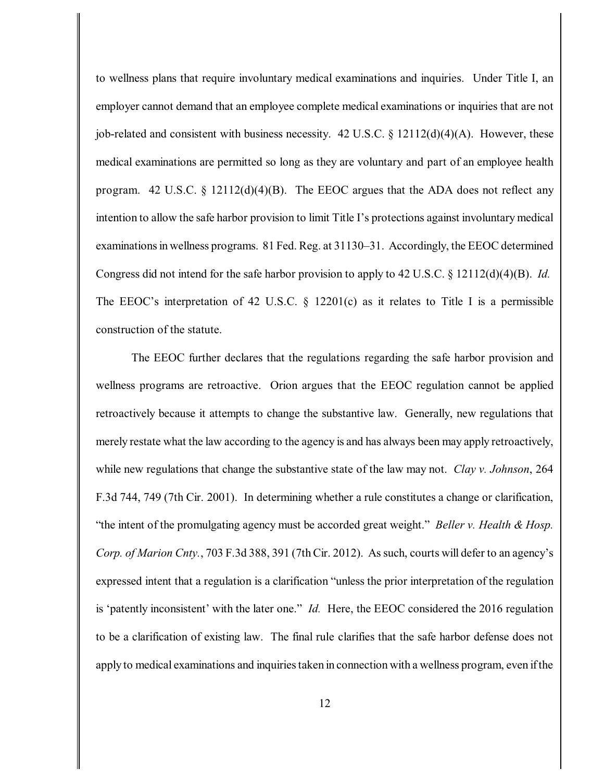to wellness plans that require involuntary medical examinations and inquiries. Under Title I, an employer cannot demand that an employee complete medical examinations or inquiries that are not job-related and consistent with business necessity. 42 U.S.C.  $\S 12112(d)(4)(A)$ . However, these medical examinations are permitted so long as they are voluntary and part of an employee health program. 42 U.S.C. § 12112(d)(4)(B). The EEOC argues that the ADA does not reflect any intention to allow the safe harbor provision to limit Title I's protections against involuntary medical examinations in wellness programs. 81 Fed. Reg. at 31130–31. Accordingly, the EEOC determined Congress did not intend for the safe harbor provision to apply to 42 U.S.C. § 12112(d)(4)(B). *Id.* The EEOC's interpretation of 42 U.S.C. § 12201(c) as it relates to Title I is a permissible construction of the statute.

The EEOC further declares that the regulations regarding the safe harbor provision and wellness programs are retroactive. Orion argues that the EEOC regulation cannot be applied retroactively because it attempts to change the substantive law. Generally, new regulations that merely restate what the law according to the agency is and has always been may apply retroactively, while new regulations that change the substantive state of the law may not. *Clay v. Johnson*, 264 F.3d 744, 749 (7th Cir. 2001). In determining whether a rule constitutes a change or clarification, "the intent of the promulgating agency must be accorded great weight." *Beller v. Health & Hosp. Corp. of Marion Cnty.*, 703 F.3d 388, 391 (7th Cir. 2012). As such, courts will defer to an agency's expressed intent that a regulation is a clarification "unless the prior interpretation of the regulation is 'patently inconsistent' with the later one." *Id.* Here, the EEOC considered the 2016 regulation to be a clarification of existing law. The final rule clarifies that the safe harbor defense does not apply to medical examinations and inquiries taken in connection with a wellness program, even if the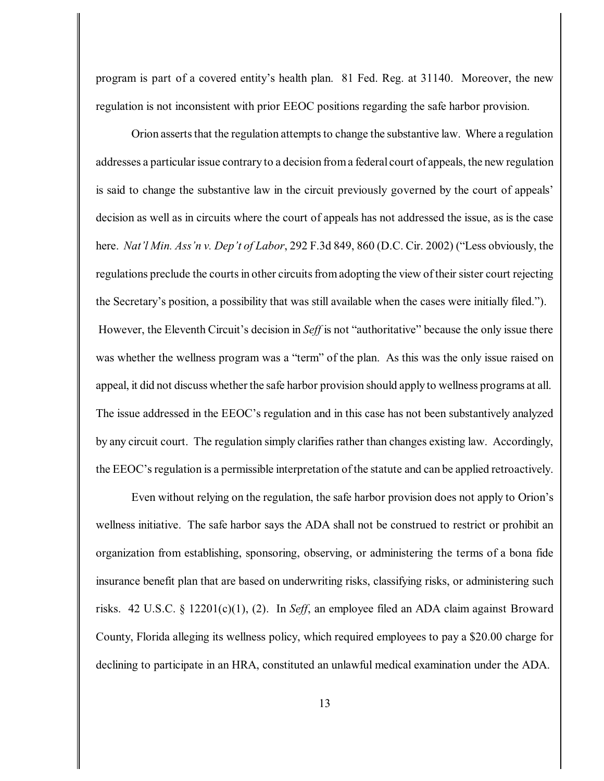program is part of a covered entity's health plan. 81 Fed. Reg. at 31140. Moreover, the new regulation is not inconsistent with prior EEOC positions regarding the safe harbor provision.

Orion asserts that the regulation attempts to change the substantive law. Where a regulation addresses a particular issue contrary to a decision froma federal court of appeals, the new regulation is said to change the substantive law in the circuit previously governed by the court of appeals' decision as well as in circuits where the court of appeals has not addressed the issue, as is the case here. *Nat'l Min. Ass'n v. Dep't of Labor*, 292 F.3d 849, 860 (D.C. Cir. 2002) ("Less obviously, the regulations preclude the courts in other circuits from adopting the view of their sister court rejecting the Secretary's position, a possibility that was still available when the cases were initially filed."). However, the Eleventh Circuit's decision in *Seff* is not "authoritative" because the only issue there was whether the wellness program was a "term" of the plan. As this was the only issue raised on appeal, it did not discuss whether the safe harbor provision should apply to wellness programs at all. The issue addressed in the EEOC's regulation and in this case has not been substantively analyzed by any circuit court. The regulation simply clarifies rather than changes existing law. Accordingly, the EEOC'sregulation is a permissible interpretation of the statute and can be applied retroactively.

Even without relying on the regulation, the safe harbor provision does not apply to Orion's wellness initiative. The safe harbor says the ADA shall not be construed to restrict or prohibit an organization from establishing, sponsoring, observing, or administering the terms of a bona fide insurance benefit plan that are based on underwriting risks, classifying risks, or administering such risks. 42 U.S.C. § 12201(c)(1), (2). In *Seff*, an employee filed an ADA claim against Broward County, Florida alleging its wellness policy, which required employees to pay a \$20.00 charge for declining to participate in an HRA, constituted an unlawful medical examination under the ADA.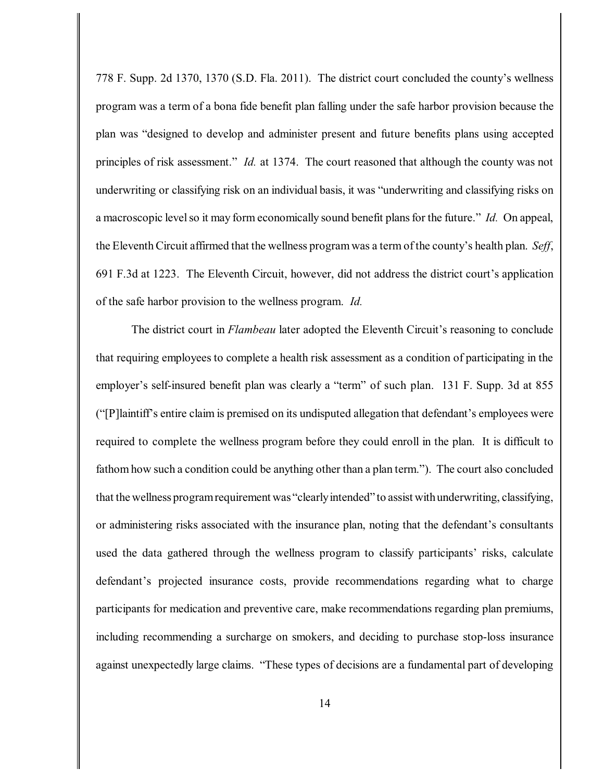778 F. Supp. 2d 1370, 1370 (S.D. Fla. 2011). The district court concluded the county's wellness program was a term of a bona fide benefit plan falling under the safe harbor provision because the plan was "designed to develop and administer present and future benefits plans using accepted principles of risk assessment." *Id.* at 1374. The court reasoned that although the county was not underwriting or classifying risk on an individual basis, it was "underwriting and classifying risks on a macroscopic level so it may form economically sound benefit plans for the future." *Id.* On appeal, the Eleventh Circuit affirmed that the wellness program was a term of the county's health plan. *Seff*, 691 F.3d at 1223. The Eleventh Circuit, however, did not address the district court's application of the safe harbor provision to the wellness program. *Id.*

The district court in *Flambeau* later adopted the Eleventh Circuit's reasoning to conclude that requiring employees to complete a health risk assessment as a condition of participating in the employer's self-insured benefit plan was clearly a "term" of such plan. 131 F. Supp. 3d at 855 ("[P]laintiff's entire claim is premised on its undisputed allegation that defendant's employees were required to complete the wellness program before they could enroll in the plan. It is difficult to fathom how such a condition could be anything other than a plan term."). The court also concluded that the wellness programrequirement was "clearlyintended" to assist withunderwriting, classifying, or administering risks associated with the insurance plan, noting that the defendant's consultants used the data gathered through the wellness program to classify participants' risks, calculate defendant's projected insurance costs, provide recommendations regarding what to charge participants for medication and preventive care, make recommendations regarding plan premiums, including recommending a surcharge on smokers, and deciding to purchase stop-loss insurance against unexpectedly large claims. "These types of decisions are a fundamental part of developing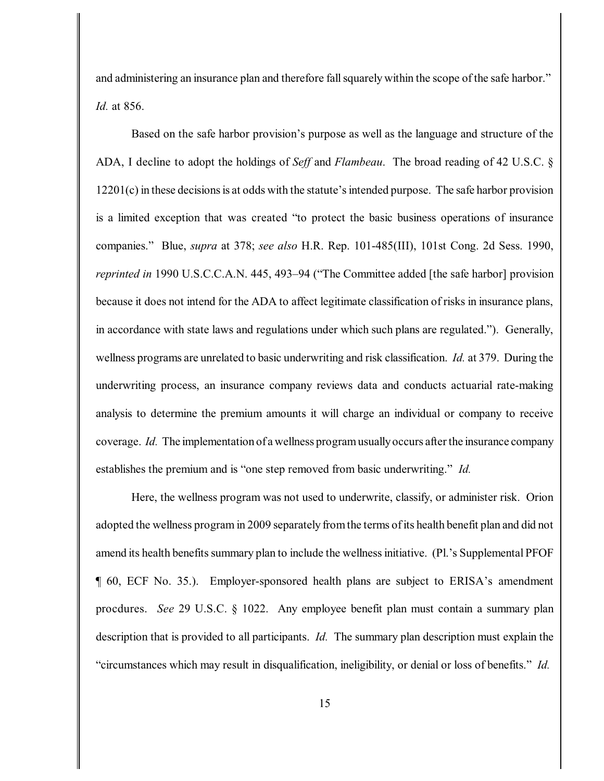and administering an insurance plan and therefore fall squarely within the scope of the safe harbor." *Id.* at 856.

Based on the safe harbor provision's purpose as well as the language and structure of the ADA, I decline to adopt the holdings of *Seff* and *Flambeau*. The broad reading of 42 U.S.C. §  $12201(c)$  in these decisions is at odds with the statute's intended purpose. The safe harbor provision is a limited exception that was created "to protect the basic business operations of insurance companies." Blue, *supra* at 378; *see also* H.R. Rep. 101-485(III), 101st Cong. 2d Sess. 1990, *reprinted in* 1990 U.S.C.C.A.N. 445, 493–94 ("The Committee added [the safe harbor] provision because it does not intend for the ADA to affect legitimate classification of risks in insurance plans, in accordance with state laws and regulations under which such plans are regulated."). Generally, wellness programs are unrelated to basic underwriting and risk classification. *Id.* at 379. During the underwriting process, an insurance company reviews data and conducts actuarial rate-making analysis to determine the premium amounts it will charge an individual or company to receive coverage. *Id.* The implementation of a wellness programusuallyoccurs after the insurance company establishes the premium and is "one step removed from basic underwriting." *Id.*

Here, the wellness program was not used to underwrite, classify, or administer risk. Orion adopted the wellness program in 2009 separately fromthe terms ofits health benefit plan and did not amend its health benefits summary plan to include the wellness initiative. (Pl.'s Supplemental PFOF ¶ 60, ECF No. 35.). Employer-sponsored health plans are subject to ERISA's amendment procdures. *See* 29 U.S.C. § 1022. Any employee benefit plan must contain a summary plan description that is provided to all participants. *Id.* The summary plan description must explain the "circumstances which may result in disqualification, ineligibility, or denial or loss of benefits." *Id.*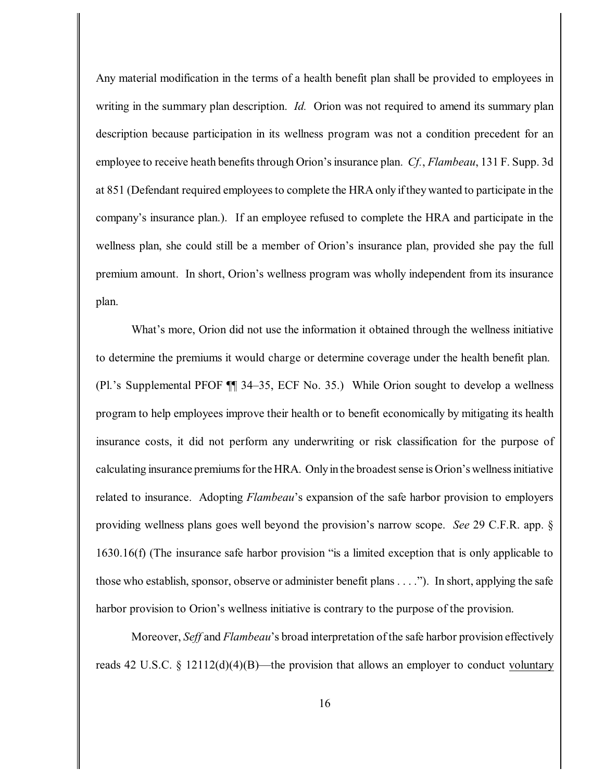Any material modification in the terms of a health benefit plan shall be provided to employees in writing in the summary plan description. *Id.* Orion was not required to amend its summary plan description because participation in its wellness program was not a condition precedent for an employee to receive heath benefits through Orion's insurance plan. *Cf.*, *Flambeau*, 131 F. Supp. 3d at 851 (Defendant required employees to complete the HRA only if they wanted to participate in the company's insurance plan.). If an employee refused to complete the HRA and participate in the wellness plan, she could still be a member of Orion's insurance plan, provided she pay the full premium amount. In short, Orion's wellness program was wholly independent from its insurance plan.

What's more, Orion did not use the information it obtained through the wellness initiative to determine the premiums it would charge or determine coverage under the health benefit plan. (Pl.'s Supplemental PFOF ¶¶ 34–35, ECF No. 35.) While Orion sought to develop a wellness program to help employees improve their health or to benefit economically by mitigating its health insurance costs, it did not perform any underwriting or risk classification for the purpose of calculating insurance premiumsfor the HRA. Onlyin the broadestsense is Orion's wellnessinitiative related to insurance. Adopting *Flambeau*'s expansion of the safe harbor provision to employers providing wellness plans goes well beyond the provision's narrow scope. *See* 29 C.F.R. app. § 1630.16(f) (The insurance safe harbor provision "is a limited exception that is only applicable to those who establish, sponsor, observe or administer benefit plans . . . ."). In short, applying the safe harbor provision to Orion's wellness initiative is contrary to the purpose of the provision.

Moreover, *Seff* and *Flambeau*'s broad interpretation of the safe harbor provision effectively reads 42 U.S.C. § 12112(d)(4)(B)—the provision that allows an employer to conduct voluntary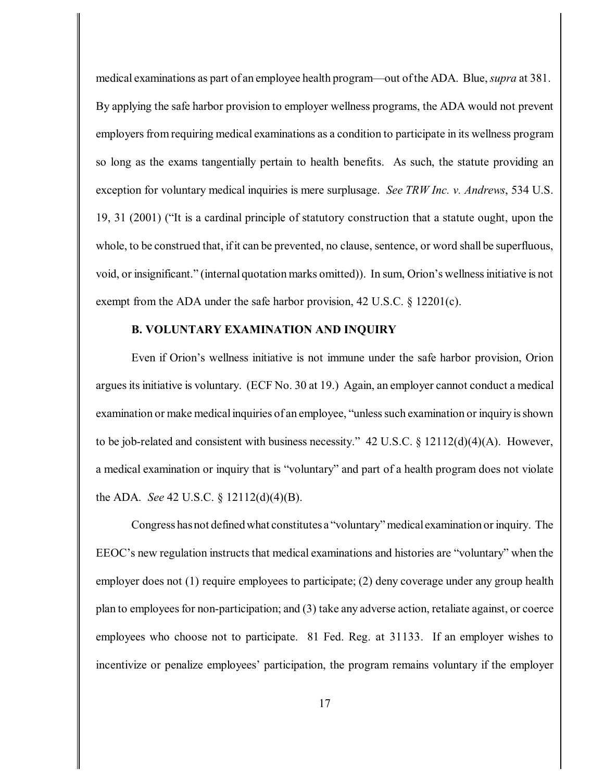medical examinations as part of an employee health program—out ofthe ADA. Blue, *supra* at 381. By applying the safe harbor provision to employer wellness programs, the ADA would not prevent employers from requiring medical examinations as a condition to participate in its wellness program so long as the exams tangentially pertain to health benefits. As such, the statute providing an exception for voluntary medical inquiries is mere surplusage. *See TRW Inc. v. Andrews*, 534 U.S. 19, 31 (2001) ("It is a cardinal principle of statutory construction that a statute ought, upon the whole, to be construed that, if it can be prevented, no clause, sentence, or word shall be superfluous, void, or insignificant." (internal quotation marks omitted)). In sum, Orion's wellnessinitiative is not exempt from the ADA under the safe harbor provision, 42 U.S.C. § 12201(c).

## **B. VOLUNTARY EXAMINATION AND INQUIRY**

Even if Orion's wellness initiative is not immune under the safe harbor provision, Orion argues its initiative is voluntary. (ECF No. 30 at 19.) Again, an employer cannot conduct a medical examination or make medical inquiries of an employee, "unless such examination or inquiry is shown to be job-related and consistent with business necessity." 42 U.S.C. § 12112(d)(4)(A). However, a medical examination or inquiry that is "voluntary" and part of a health program does not violate the ADA. *See* 42 U.S.C. § 12112(d)(4)(B).

Congress has not defined what constitutes a "voluntary" medicalexamination or inquiry. The EEOC's new regulation instructs that medical examinations and histories are "voluntary" when the employer does not (1) require employees to participate; (2) deny coverage under any group health plan to employees for non-participation; and (3) take any adverse action, retaliate against, or coerce employees who choose not to participate. 81 Fed. Reg. at 31133. If an employer wishes to incentivize or penalize employees' participation, the program remains voluntary if the employer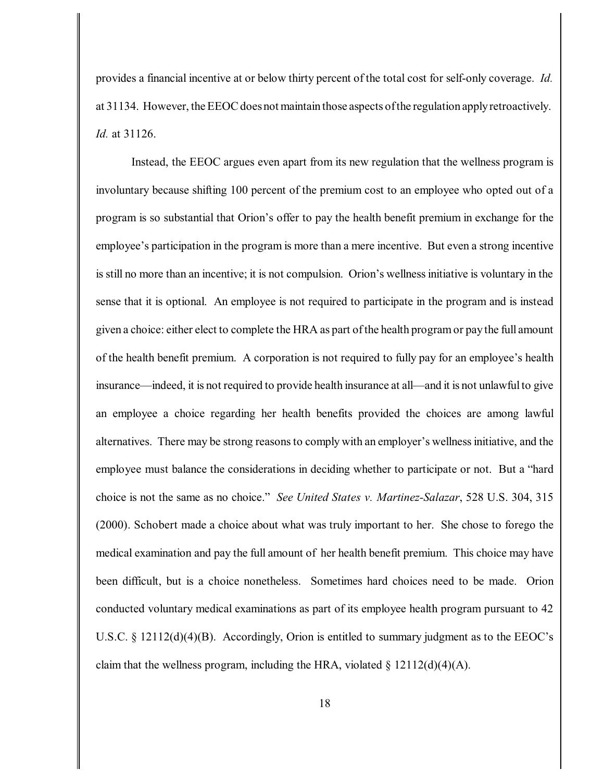provides a financial incentive at or below thirty percent of the total cost for self-only coverage. *Id.* at 31134. However, the EEOC does not maintain those aspects of the regulation apply retroactively. *Id.* at 31126.

Instead, the EEOC argues even apart from its new regulation that the wellness program is involuntary because shifting 100 percent of the premium cost to an employee who opted out of a program is so substantial that Orion's offer to pay the health benefit premium in exchange for the employee's participation in the program is more than a mere incentive. But even a strong incentive is still no more than an incentive; it is not compulsion. Orion's wellnessinitiative is voluntary in the sense that it is optional. An employee is not required to participate in the program and is instead given a choice: either elect to complete the HRA as part ofthe health programor pay the full amount of the health benefit premium. A corporation is not required to fully pay for an employee's health insurance—indeed, it is not required to provide health insurance at all—and it is not unlawful to give an employee a choice regarding her health benefits provided the choices are among lawful alternatives. There may be strong reasonsto comply with an employer's wellnessinitiative, and the employee must balance the considerations in deciding whether to participate or not. But a "hard choice is not the same as no choice." *See United States v. Martinez-Salazar*, 528 U.S. 304, 315 (2000). Schobert made a choice about what was truly important to her. She chose to forego the medical examination and pay the full amount of her health benefit premium. This choice may have been difficult, but is a choice nonetheless. Sometimes hard choices need to be made. Orion conducted voluntary medical examinations as part of its employee health program pursuant to 42 U.S.C. § 12112(d)(4)(B). Accordingly, Orion is entitled to summary judgment as to the EEOC's claim that the wellness program, including the HRA, violated  $\S$  12112(d)(4)(A).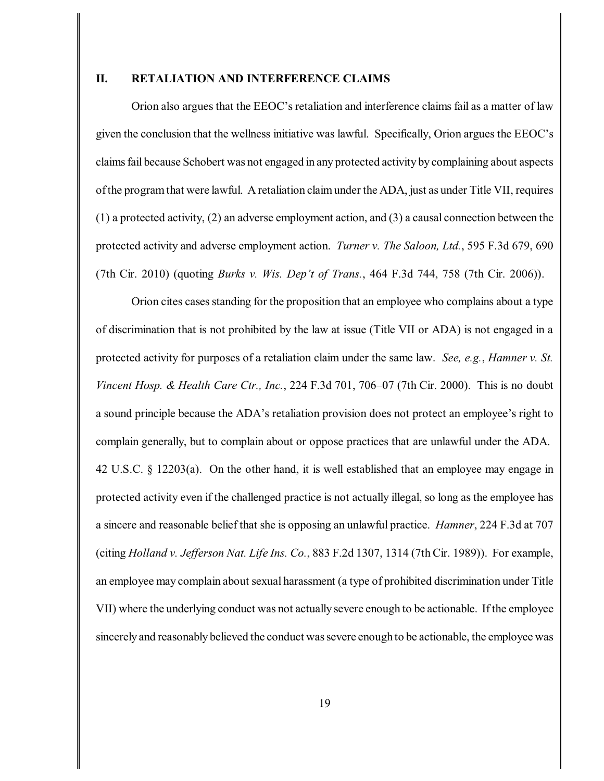# **II. RETALIATION AND INTERFERENCE CLAIMS**

Orion also argues that the EEOC's retaliation and interference claims fail as a matter of law given the conclusion that the wellness initiative was lawful. Specifically, Orion argues the EEOC's claimsfail because Schobert was not engaged in any protected activity by complaining about aspects ofthe programthat were lawful. A retaliation claimunder the ADA, just as under Title VII, requires (1) a protected activity, (2) an adverse employment action, and (3) a causal connection between the protected activity and adverse employment action. *Turner v. The Saloon, Ltd.*, 595 F.3d 679, 690 (7th Cir. 2010) (quoting *Burks v. Wis. Dep't of Trans.*, 464 F.3d 744, 758 (7th Cir. 2006)).

Orion cites casesstanding for the proposition that an employee who complains about a type of discrimination that is not prohibited by the law at issue (Title VII or ADA) is not engaged in a protected activity for purposes of a retaliation claim under the same law. *See, e.g.*, *Hamner v. St. Vincent Hosp. & Health Care Ctr., Inc.*, 224 F.3d 701, 706–07 (7th Cir. 2000). This is no doubt a sound principle because the ADA's retaliation provision does not protect an employee's right to complain generally, but to complain about or oppose practices that are unlawful under the ADA. 42 U.S.C. § 12203(a). On the other hand, it is well established that an employee may engage in protected activity even if the challenged practice is not actually illegal, so long as the employee has a sincere and reasonable belief that she is opposing an unlawful practice. *Hamner*, 224 F.3d at 707 (citing *Holland v. Jefferson Nat. Life Ins. Co.*, 883 F.2d 1307, 1314 (7th Cir. 1989)). For example, an employee may complain about sexual harassment (a type of prohibited discrimination under Title VII) where the underlying conduct was not actually severe enough to be actionable. If the employee sincerely and reasonably believed the conduct was severe enough to be actionable, the employee was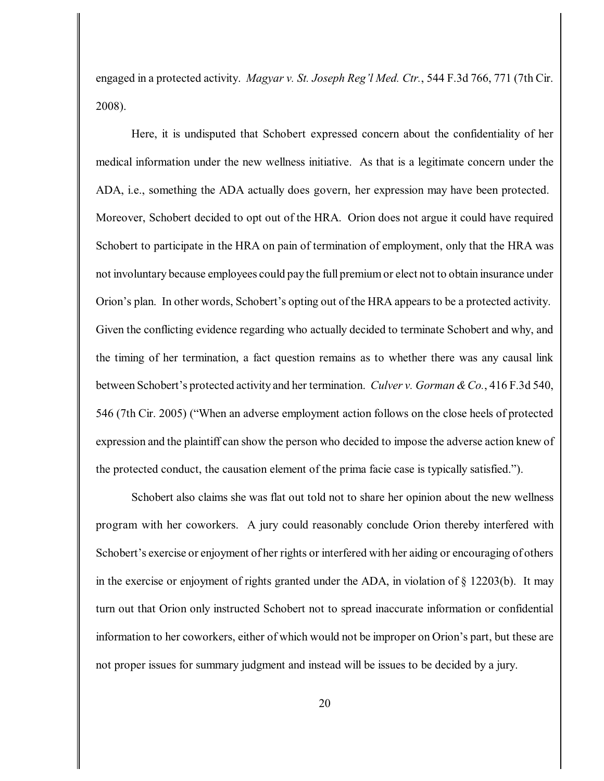engaged in a protected activity. *Magyar v. St. Joseph Reg'l Med. Ctr.*, 544 F.3d 766, 771 (7th Cir. 2008).

Here, it is undisputed that Schobert expressed concern about the confidentiality of her medical information under the new wellness initiative. As that is a legitimate concern under the ADA, i.e., something the ADA actually does govern, her expression may have been protected. Moreover, Schobert decided to opt out of the HRA. Orion does not argue it could have required Schobert to participate in the HRA on pain of termination of employment, only that the HRA was not involuntary because employees could pay the full premiumor elect not to obtain insurance under Orion's plan. In other words, Schobert's opting out of the HRA appears to be a protected activity. Given the conflicting evidence regarding who actually decided to terminate Schobert and why, and the timing of her termination, a fact question remains as to whether there was any causal link between Schobert's protected activity and her termination. *Culver v. Gorman & Co.*, 416 F.3d 540, 546 (7th Cir. 2005) ("When an adverse employment action follows on the close heels of protected expression and the plaintiff can show the person who decided to impose the adverse action knew of the protected conduct, the causation element of the prima facie case is typically satisfied.").

Schobert also claims she was flat out told not to share her opinion about the new wellness program with her coworkers. A jury could reasonably conclude Orion thereby interfered with Schobert's exercise or enjoyment of her rights or interfered with her aiding or encouraging of others in the exercise or enjoyment of rights granted under the ADA, in violation of  $\S$  12203(b). It may turn out that Orion only instructed Schobert not to spread inaccurate information or confidential information to her coworkers, either of which would not be improper on Orion's part, but these are not proper issues for summary judgment and instead will be issues to be decided by a jury.